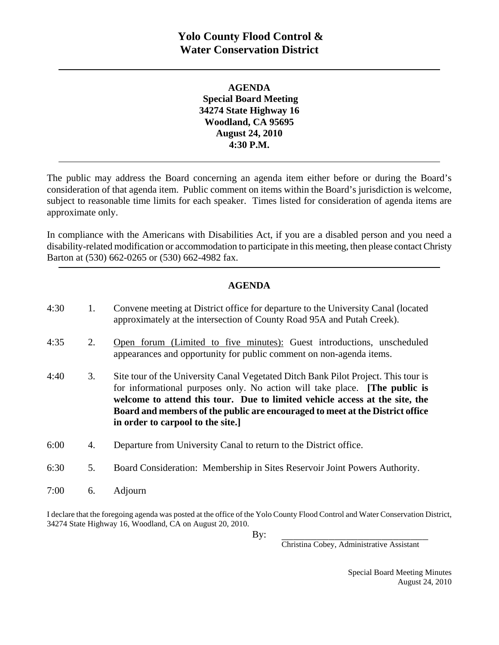## **AGENDA Special Board Meeting 34274 State Highway 16 Woodland, CA 95695 August 24, 2010 4:30 P.M.**

The public may address the Board concerning an agenda item either before or during the Board's consideration of that agenda item. Public comment on items within the Board's jurisdiction is welcome, subject to reasonable time limits for each speaker. Times listed for consideration of agenda items are approximate only.

In compliance with the Americans with Disabilities Act, if you are a disabled person and you need a disability-related modification or accommodation to participate in this meeting, then please contact Christy Barton at (530) 662-0265 or (530) 662-4982 fax.

## **AGENDA**

| 4:30 | 1. | Convene meeting at District office for departure to the University Canal (located<br>approximately at the intersection of County Road 95A and Putah Creek).                                                                                                                                                                                                                 |
|------|----|-----------------------------------------------------------------------------------------------------------------------------------------------------------------------------------------------------------------------------------------------------------------------------------------------------------------------------------------------------------------------------|
| 4:35 | 2. | Open forum (Limited to five minutes): Guest introductions, unscheduled<br>appearances and opportunity for public comment on non-agenda items.                                                                                                                                                                                                                               |
| 4:40 | 3. | Site tour of the University Canal Vegetated Ditch Bank Pilot Project. This tour is<br>for informational purposes only. No action will take place. <b>The public is</b><br>welcome to attend this tour. Due to limited vehicle access at the site, the<br>Board and members of the public are encouraged to meet at the District office<br>in order to carpool to the site.] |
| 6:00 | 4. | Departure from University Canal to return to the District office.                                                                                                                                                                                                                                                                                                           |
| 6:30 | 5. | Board Consideration: Membership in Sites Reservoir Joint Powers Authority.                                                                                                                                                                                                                                                                                                  |
| 7:00 | 6. | Adjourn                                                                                                                                                                                                                                                                                                                                                                     |

I declare that the foregoing agenda was posted at the office of the Yolo County Flood Control and Water Conservation District, 34274 State Highway 16, Woodland, CA on August 20, 2010.

 $\mathbf{By:}$ 

Christina Cobey, Administrative Assistant

Special Board Meeting Minutes August 24, 2010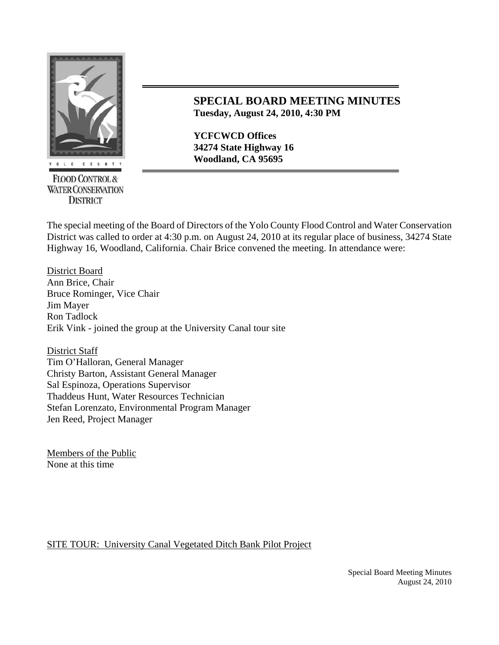

**FLOOD CONTROL & WATER CONSERVATION DISTRICT** 

## **SPECIAL BOARD MEETING MINUTES Tuesday, August 24, 2010, 4:30 PM**

**YCFCWCD Offices 34274 State Highway 16**  *Moodland, CA 95695* 

The special meeting of the Board of Directors of the Yolo County Flood Control and Water Conservation District was called to order at 4:30 p.m. on August 24, 2010 at its regular place of business, 34274 State Highway 16, Woodland, California. Chair Brice convened the meeting. In attendance were:

District Board Ann Brice, Chair Bruce Rominger, Vice Chair Jim Mayer Ron Tadlock Erik Vink - joined the group at the University Canal tour site

District Staff Tim O'Halloran, General Manager Christy Barton, Assistant General Manager Sal Espinoza, Operations Supervisor Thaddeus Hunt, Water Resources Technician Stefan Lorenzato, Environmental Program Manager Jen Reed, Project Manager

Members of the Public None at this time

## SITE TOUR: University Canal Vegetated Ditch Bank Pilot Project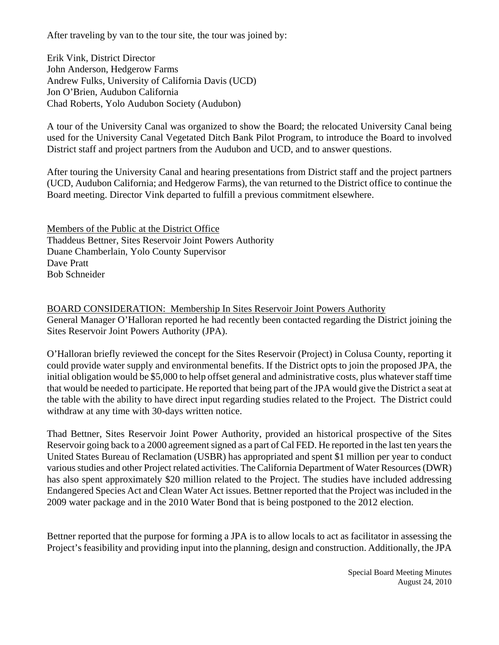After traveling by van to the tour site, the tour was joined by:

Erik Vink, District Director John Anderson, Hedgerow Farms Andrew Fulks, University of California Davis (UCD) Jon O'Brien, Audubon California Chad Roberts, Yolo Audubon Society (Audubon)

A tour of the University Canal was organized to show the Board; the relocated University Canal being used for the University Canal Vegetated Ditch Bank Pilot Program, to introduce the Board to involved District staff and project partners from the Audubon and UCD, and to answer questions.

After touring the University Canal and hearing presentations from District staff and the project partners (UCD, Audubon California; and Hedgerow Farms), the van returned to the District office to continue the Board meeting. Director Vink departed to fulfill a previous commitment elsewhere.

Members of the Public at the District Office Thaddeus Bettner, Sites Reservoir Joint Powers Authority Duane Chamberlain, Yolo County Supervisor Dave Pratt Bob Schneider

BOARD CONSIDERATION: Membership In Sites Reservoir Joint Powers Authority General Manager O'Halloran reported he had recently been contacted regarding the District joining the Sites Reservoir Joint Powers Authority (JPA).

O'Halloran briefly reviewed the concept for the Sites Reservoir (Project) in Colusa County, reporting it could provide water supply and environmental benefits. If the District opts to join the proposed JPA, the initial obligation would be \$5,000 to help offset general and administrative costs, plus whatever staff time that would be needed to participate. He reported that being part of the JPA would give the District a seat at the table with the ability to have direct input regarding studies related to the Project. The District could withdraw at any time with 30-days written notice.

Thad Bettner, Sites Reservoir Joint Power Authority, provided an historical prospective of the Sites Reservoir going back to a 2000 agreement signed as a part of Cal FED. He reported in the last ten years the United States Bureau of Reclamation (USBR) has appropriated and spent \$1 million per year to conduct various studies and other Project related activities. The California Department of Water Resources (DWR) has also spent approximately \$20 million related to the Project. The studies have included addressing Endangered Species Act and Clean Water Act issues. Bettner reported that the Project was included in the 2009 water package and in the 2010 Water Bond that is being postponed to the 2012 election.

Bettner reported that the purpose for forming a JPA is to allow locals to act as facilitator in assessing the Project's feasibility and providing input into the planning, design and construction. Additionally, the JPA